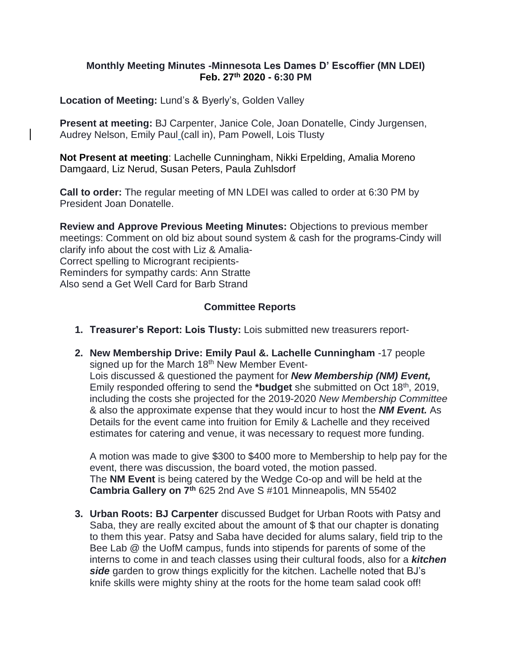#### **Monthly Meeting Minutes -Minnesota Les Dames D' Escoffier (MN LDEI) Feb. 27th 2020 - 6:30 PM**

**Location of Meeting:** Lund's & Byerly's, Golden Valley

**Present at meeting:** BJ Carpenter, Janice Cole, Joan Donatelle, Cindy Jurgensen, Audrey Nelson, Emily Paul (call in), Pam Powell, Lois Tlusty

**Not Present at meeting**: Lachelle Cunningham, Nikki Erpelding, Amalia Moreno Damgaard, Liz Nerud, Susan Peters, Paula Zuhlsdorf

**Call to order:** The regular meeting of MN LDEI was called to order at 6:30 PM by President Joan Donatelle.

**Review and Approve Previous Meeting Minutes:** Objections to previous member meetings: Comment on old biz about sound system & cash for the programs-Cindy will clarify info about the cost with Liz & Amalia-Correct spelling to Microgrant recipients-Reminders for sympathy cards: Ann Stratte Also send a Get Well Card for Barb Strand

# **Committee Reports**

- **1. Treasurer's Report: Lois Tlusty:** Lois submitted new treasurers report-
- **2. New Membership Drive: Emily Paul &. Lachelle Cunningham** -17 people signed up for the March 18<sup>th</sup> New Member Event-Lois discussed & questioned the payment for *New Membership (NM) Event,* Emily responded offering to send the **\*budget** she submitted on Oct 18th, 2019, including the costs she projected for the 2019-2020 *New Membership Committee* & also the approximate expense that they would incur to host the *NM Event.* As Details for the event came into fruition for Emily & Lachelle and they received estimates for catering and venue, it was necessary to request more funding.

A motion was made to give \$300 to \$400 more to Membership to help pay for the event, there was discussion, the board voted, the motion passed. The **NM Event** is being catered by the Wedge Co-op and will be held at the **Cambria Gallery on 7th** 625 2nd Ave S #101 Minneapolis, MN 55402

**3. Urban Roots: BJ Carpenter** discussed Budget for Urban Roots with Patsy and Saba, they are really excited about the amount of \$ that our chapter is donating to them this year. Patsy and Saba have decided for alums salary, field trip to the Bee Lab @ the UofM campus, funds into stipends for parents of some of the interns to come in and teach classes using their cultural foods, also for a *kitchen side* garden to grow things explicitly for the kitchen. Lachelle noted that BJ's knife skills were mighty shiny at the roots for the home team salad cook off!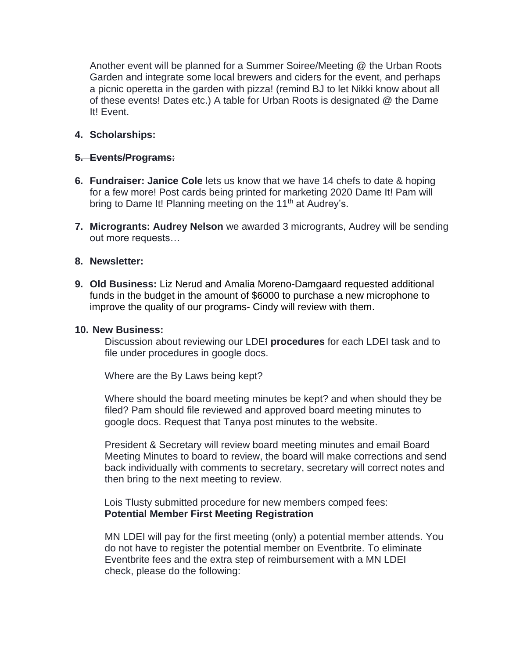Another event will be planned for a Summer Soiree/Meeting @ the Urban Roots Garden and integrate some local brewers and ciders for the event, and perhaps a picnic operetta in the garden with pizza! (remind BJ to let Nikki know about all of these events! Dates etc.) A table for Urban Roots is designated @ the Dame It! Event.

## **4. Scholarships:**

## **5. Events/Programs:**

- **6. Fundraiser: Janice Cole** lets us know that we have 14 chefs to date & hoping for a few more! Post cards being printed for marketing 2020 Dame It! Pam will bring to Dame It! Planning meeting on the 11<sup>th</sup> at Audrey's.
- **7. Microgrants: Audrey Nelson** we awarded 3 microgrants, Audrey will be sending out more requests…

#### **8. Newsletter:**

**9. Old Business:** Liz Nerud and Amalia Moreno-Damgaard requested additional funds in the budget in the amount of \$6000 to purchase a new microphone to improve the quality of our programs- Cindy will review with them.

#### **10. New Business:**

Discussion about reviewing our LDEI **procedures** for each LDEI task and to file under procedures in google docs.

Where are the By Laws being kept?

Where should the board meeting minutes be kept? and when should they be filed? Pam should file reviewed and approved board meeting minutes to google docs. Request that Tanya post minutes to the website.

President & Secretary will review board meeting minutes and email Board Meeting Minutes to board to review, the board will make corrections and send back individually with comments to secretary, secretary will correct notes and then bring to the next meeting to review.

 Lois Tlusty submitted procedure for new members comped fees: **Potential Member First Meeting Registration**

MN LDEI will pay for the first meeting (only) a potential member attends. You do not have to register the potential member on Eventbrite. To eliminate Eventbrite fees and the extra step of reimbursement with a MN LDEI check, please do the following: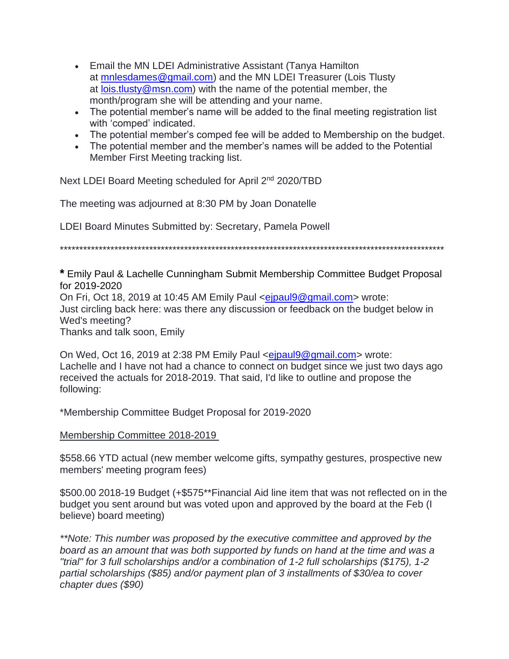- Email the MN LDEI Administrative Assistant (Tanya Hamilton at [mnlesdames@gmail.com\)](mailto:mnlesdames@gmail.com) and the MN LDEI Treasurer (Lois Tlusty at [lois.tlusty@msn.com\)](mailto:lois.tlusty@msn.com) with the name of the potential member, the month/program she will be attending and your name.
- The potential member's name will be added to the final meeting registration list with 'comped' indicated.
- The potential member's comped fee will be added to Membership on the budget.
- The potential member and the member's names will be added to the Potential Member First Meeting tracking list.

Next LDEI Board Meeting scheduled for April 2<sup>nd</sup> 2020/TBD

The meeting was adjourned at 8:30 PM by Joan Donatelle

LDEI Board Minutes Submitted by: Secretary, Pamela Powell

\*\*\*\*\*\*\*\*\*\*\*\*\*\*\*\*\*\*\*\*\*\*\*\*\*\*\*\*\*\*\*\*\*\*\*\*\*\*\*\*\*\*\*\*\*\*\*\*\*\*\*\*\*\*\*\*\*\*\*\*\*\*\*\*\*\*\*\*\*\*\*\*\*\*\*\*\*\*\*\*\*\*\*\*\*\*\*\*\*\*\*\*\*\*\*\*\*\*\*

**\*** Emily Paul & Lachelle Cunningham Submit Membership Committee Budget Proposal for 2019-2020 On Fri, Oct 18, 2019 at 10:45 AM Emily Paul <eipaul9@gmail.com> wrote: Just circling back here: was there any discussion or feedback on the budget below in Wed's meeting? Thanks and talk soon, Emily

On Wed, Oct 16, 2019 at 2:38 PM Emily Paul [<ejpaul9@gmail.com>](mailto:ejpaul9@gmail.com) wrote: Lachelle and I have not had a chance to connect on budget since we just two days ago received the actuals for 2018-2019. That said, I'd like to outline and propose the following:

\*Membership Committee Budget Proposal for 2019-2020

Membership Committee 2018-2019

\$558.66 YTD actual (new member welcome gifts, sympathy gestures, prospective new members' meeting program fees)

\$500.00 2018-19 Budget (+\$575\*\*Financial Aid line item that was not reflected on in the budget you sent around but was voted upon and approved by the board at the Feb (I believe) board meeting)

*\*\*Note: This number was proposed by the executive committee and approved by the board as an amount that was both supported by funds on hand at the time and was a "trial" for 3 full scholarships and/or a combination of 1-2 full scholarships (\$175), 1-2 partial scholarships (\$85) and/or payment plan of 3 installments of \$30/ea to cover chapter dues (\$90)*